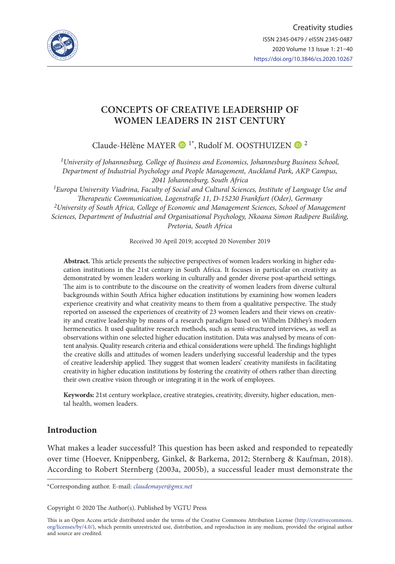

# **CONCEPTS OF CREATIVE LEADERSHIP OF WOMEN LEADERS IN 21ST CENTURY**

Claude-Hélène MAYER  $\bullet$ <sup>1\*</sup>, Rudolf M. OOSTHUIZEN  $\bullet$ <sup>2</sup>

*<sup>1</sup>University of Johannesburg, College of Business and Economics, Johannesburg Business School, Department of Industrial Psychology and People Management, Auckland Park, AKP Campus, 2041 Johannesburg, South Africa*

*<sup>1</sup>Europa University Viadrina, Faculty of Social and Cultural Sciences, Institute of Language Use and Therapeutic Communication, Logenstraße 11, D-15230 Frankfurt (Oder), Germany <sup>2</sup>University of South Africa, College of Economic and Management Sciences, School of Management Sciences, Department of Industrial and Organisational Psychology, Nkoana Simon Radipere Building, Pretoria, South Africa*

Received 30 April 2019; accepted 20 November 2019

**Abstract.** This article presents the subjective perspectives of women leaders working in higher education institutions in the 21st century in South Africa. It focuses in particular on creativity as demonstrated by women leaders working in culturally and gender diverse post-apartheid settings. The aim is to contribute to the discourse on the creativity of women leaders from diverse cultural backgrounds within South Africa higher education institutions by examining how women leaders experience creativity and what creativity means to them from a qualitative perspective. The study reported on assessed the experiences of creativity of 23 women leaders and their views on creativity and creative leadership by means of a research paradigm based on Wilhelm Dilthey's modern hermeneutics. It used qualitative research methods, such as semi-structured interviews, as well as observations within one selected higher education institution. Data was analysed by means of content analysis. Quality research criteria and ethical considerations were upheld. The findings highlight the creative skills and attitudes of women leaders underlying successful leadership and the types of creative leadership applied. They suggest that women leaders' creativity manifests in facilitating creativity in higher education institutions by fostering the creativity of others rather than directing their own creative vision through or integrating it in the work of employees.

**Keywords:** 21st century workplace, creative strategies, creativity, diversity, higher education, mental health, women leaders.

# **Introduction**

What makes a leader successful? This question has been asked and responded to repeatedly over time (Hoever, Knippenberg, Ginkel, & Barkema, 2012; Sternberg & Kaufman, 2018). According to Robert Sternberg (2003a, 2005b), a successful leader must demonstrate the

\*Corresponding author. E-mail: *[claudemayer@gmx.net](mailto:claudemayer@gmx.net)*

Copyright © 2020 The Author(s). Published by VGTU Press

This is an Open Access article distributed under the terms of the Creative Commons Attribution License ([http://creativecommons.](http://creativecommons.org/licenses/by/4.0/) [org/licenses/by/4.0/\)](http://creativecommons.org/licenses/by/4.0/), which permits unrestricted use, distribution, and reproduction in any medium, provided the original author and source are credited.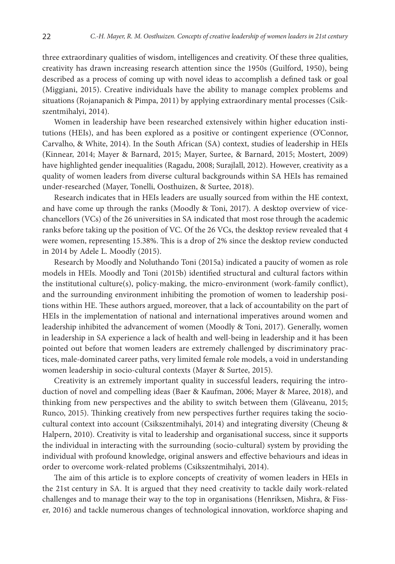three extraordinary qualities of wisdom, intelligences and creativity. Of these three qualities, creativity has drawn increasing research attention since the 1950s (Guilford, 1950), being described as a process of coming up with novel ideas to accomplish a defined task or goal (Miggiani, 2015). Creative individuals have the ability to manage complex problems and situations (Rojanapanich & Pimpa, 2011) by applying extraordinary mental processes (Csikszentmihalyi, 2014).

Women in leadership have been researched extensively within higher education institutions (HEIs), and has been explored as a positive or contingent experience (O'Connor, Carvalho, & White, 2014). In the South African (SA) context, studies of leadership in HEIs (Kinnear, 2014; Mayer & Barnard, 2015; Mayer, Surtee, & Barnard, 2015; Mostert, 2009) have highlighted gender inequalities (Ragadu, 2008; Surajlall, 2012). However, creativity as a quality of women leaders from diverse cultural backgrounds within SA HEIs has remained under-researched (Mayer, Tonelli, Oosthuizen, & Surtee, 2018).

Research indicates that in HEIs leaders are usually sourced from within the HE context, and have come up through the ranks (Moodly & Toni, 2017). A desktop overview of vicechancellors (VCs) of the 26 universities in SA indicated that most rose through the academic ranks before taking up the position of VC. Of the 26 VCs, the desktop review revealed that 4 were women, representing 15.38%. This is a drop of 2% since the desktop review conducted in 2014 by Adele L. Moodly (2015).

Research by Moodly and Noluthando Toni (2015a) indicated a paucity of women as role models in HEIs. Moodly and Toni (2015b) identified structural and cultural factors within the institutional culture(s), policy-making, the micro-environment (work-family conflict), and the surrounding environment inhibiting the promotion of women to leadership positions within HE. These authors argued, moreover, that a lack of accountability on the part of HEIs in the implementation of national and international imperatives around women and leadership inhibited the advancement of women (Moodly & Toni, 2017). Generally, women in leadership in SA experience a lack of health and well-being in leadership and it has been pointed out before that women leaders are extremely challenged by discriminatory practices, male-dominated career paths, very limited female role models, a void in understanding women leadership in socio-cultural contexts (Mayer & Surtee, 2015).

Creativity is an extremely important quality in successful leaders, requiring the introduction of novel and compelling ideas (Baer & Kaufman, 2006; Mayer & Maree, 2018), and thinking from new perspectives and the ability to switch between them (Glăveanu, 2015; Runco, 2015). Thinking creatively from new perspectives further requires taking the sociocultural context into account (Csikszentmihalyi, 2014) and integrating diversity (Cheung & Halpern, 2010). Creativity is vital to leadership and organisational success, since it supports the individual in interacting with the surrounding (socio-cultural) system by providing the individual with profound knowledge, original answers and effective behaviours and ideas in order to overcome work-related problems (Csikszentmihalyi, 2014).

The aim of this article is to explore concepts of creativity of women leaders in HEIs in the 21st century in SA. It is argued that they need creativity to tackle daily work-related challenges and to manage their way to the top in organisations (Henriksen, Mishra, & Fisser, 2016) and tackle numerous changes of technological innovation, workforce shaping and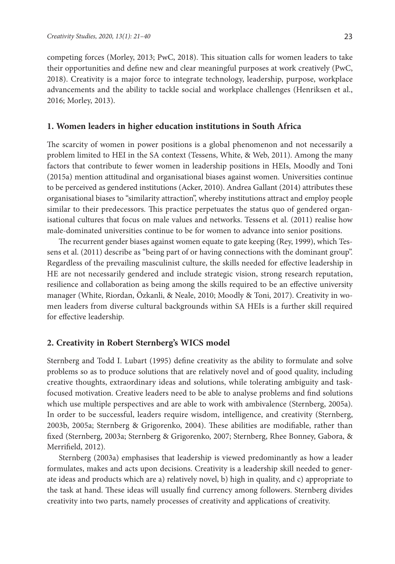competing forces (Morley, 2013; PwC, 2018). This situation calls for women leaders to take their opportunities and define new and clear meaningful purposes at work creatively (PwC, 2018). Creativity is a major force to integrate technology, leadership, purpose, workplace advancements and the ability to tackle social and workplace challenges (Henriksen et al., 2016; Morley, 2013).

#### **1. Women leaders in higher education institutions in South Africa**

The scarcity of women in power positions is a global phenomenon and not necessarily a problem limited to HEI in the SA context (Tessens, White, & Web, 2011). Among the many factors that contribute to fewer women in leadership positions in HEIs, Moodly and Toni (2015a) mention attitudinal and organisational biases against women. Universities continue to be perceived as gendered institutions (Acker, 2010). Andrea Gallant (2014) attributes these organisational biases to "similarity attraction", whereby institutions attract and employ people similar to their predecessors. This practice perpetuates the status quo of gendered organisational cultures that focus on male values and networks. Tessens et al. (2011) realise how male-dominated universities continue to be for women to advance into senior positions.

The recurrent gender biases against women equate to gate keeping (Rey, 1999), which Tessens et al. (2011) describe as "being part of or having connections with the dominant group". Regardless of the prevailing masculinist culture, the skills needed for effective leadership in HE are not necessarily gendered and include strategic vision, strong research reputation, resilience and collaboration as being among the skills required to be an effective university manager (White, Riordan, Özkanli, & Neale, 2010; Moodly & Toni, 2017). Creativity in women leaders from diverse cultural backgrounds within SA HEIs is a further skill required for effective leadership.

## **2. Creativity in Robert Sternberg's WICS model**

Sternberg and Todd I. Lubart (1995) define creativity as the ability to formulate and solve problems so as to produce solutions that are relatively novel and of good quality, including creative thoughts, extraordinary ideas and solutions, while tolerating ambiguity and taskfocused motivation. Creative leaders need to be able to analyse problems and find solutions which use multiple perspectives and are able to work with ambivalence (Sternberg, 2005a). In order to be successful, leaders require wisdom, intelligence, and creativity (Sternberg, 2003b, 2005a; Sternberg & Grigorenko, 2004). These abilities are modifiable, rather than fixed (Sternberg, 2003a; Sternberg & Grigorenko, 2007; Sternberg, Rhee Bonney, Gabora, & Merrifield, 2012).

Sternberg (2003a) emphasises that leadership is viewed predominantly as how a leader formulates, makes and acts upon decisions. Creativity is a leadership skill needed to generate ideas and products which are a) relatively novel, b) high in quality, and c) appropriate to the task at hand. These ideas will usually find currency among followers. Sternberg divides creativity into two parts, namely processes of creativity and applications of creativity.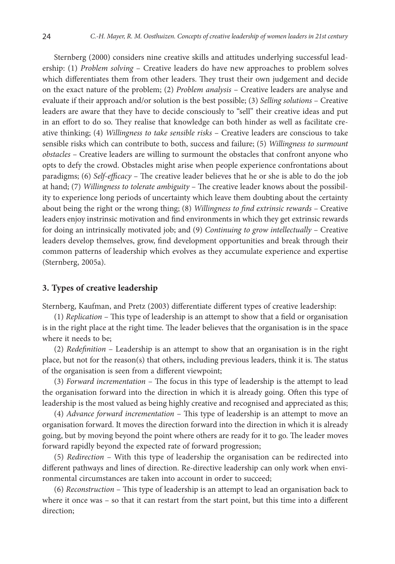Sternberg (2000) considers nine creative skills and attitudes underlying successful leadership: (1) *Problem solving* – Creative leaders do have new approaches to problem solves which differentiates them from other leaders. They trust their own judgement and decide on the exact nature of the problem; (2) *Problem analysis* – Creative leaders are analyse and evaluate if their approach and/or solution is the best possible; (3) *Selling solutions* – Creative leaders are aware that they have to decide consciously to "sell" their creative ideas and put in an effort to do so. They realise that knowledge can both hinder as well as facilitate creative thinking; (4) *Willingness to take sensible risks* – Creative leaders are conscious to take sensible risks which can contribute to both, success and failure; (5) *Willingness to surmount obstacles* – Creative leaders are willing to surmount the obstacles that confront anyone who opts to defy the crowd. Obstacles might arise when people experience confrontations about paradigms; (6) *Self-efficacy* – The creative leader believes that he or she is able to do the job at hand; (7) *Willingness to tolerate ambiguity* – The creative leader knows about the possibility to experience long periods of uncertainty which leave them doubting about the certainty about being the right or the wrong thing; (8) *Willingness to find extrinsic rewards* – Creative leaders enjoy instrinsic motivation and find environments in which they get extrinsic rewards for doing an intrinsically motivated job; and (9) *Continuing to grow intellectually* – Creative leaders develop themselves, grow, find development opportunities and break through their common patterns of leadership which evolves as they accumulate experience and expertise (Sternberg, 2005a).

## **3. Types of creative leadership**

Sternberg, Kaufman, and Pretz (2003) differentiate different types of creative leadership:

(1) *Replication* – This type of leadership is an attempt to show that a field or organisation is in the right place at the right time. The leader believes that the organisation is in the space where it needs to be;

(2) *Redefinition* – Leadership is an attempt to show that an organisation is in the right place, but not for the reason(s) that others, including previous leaders, think it is. The status of the organisation is seen from a different viewpoint;

(3) *Forward incrementation* – The focus in this type of leadership is the attempt to lead the organisation forward into the direction in which it is already going. Often this type of leadership is the most valued as being highly creative and recognised and appreciated as this;

(4) *Advance forward incrementation* – This type of leadership is an attempt to move an organisation forward. It moves the direction forward into the direction in which it is already going, but by moving beyond the point where others are ready for it to go. The leader moves forward rapidly beyond the expected rate of forward progression;

(5) *Redirection* – With this type of leadership the organisation can be redirected into different pathways and lines of direction. Re-directive leadership can only work when environmental circumstances are taken into account in order to succeed;

(6) *Reconstruction* – This type of leadership is an attempt to lead an organisation back to where it once was – so that it can restart from the start point, but this time into a different direction;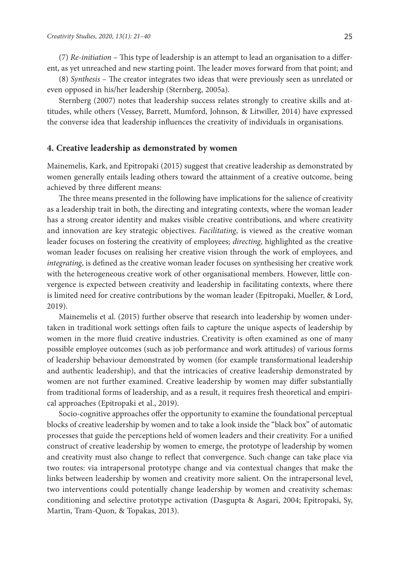(7) *Re-initiation* – This type of leadership is an attempt to lead an organisation to a different, as yet unreached and new starting point. The leader moves forward from that point; and

(8) *Synthesis* – The creator integrates two ideas that were previously seen as unrelated or even opposed in his/her leadership (Sternberg, 2005a).

Sternberg (2007) notes that leadership success relates strongly to creative skills and attitudes, while others (Vessey, Barrett, Mumford, Johnson, & Litwiller, 2014) have expressed the converse idea that leadership influences the creativity of individuals in organisations.

#### **4. Creative leadership as demonstrated by women**

Mainemelis, Kark, and Epitropaki (2015) suggest that creative leadership as demonstrated by women generally entails leading others toward the attainment of a creative outcome, being achieved by three different means:

The three means presented in the following have implications for the salience of creativity as a leadership trait in both, the directing and integrating contexts, where the woman leader has a strong creator identity and makes visible creative contributions, and where creativity and innovation are key strategic objectives. *Facilitating*, is viewed as the creative woman leader focuses on fostering the creativity of employees; *directing*, highlighted as the creative woman leader focuses on realising her creative vision through the work of employees, and *integrating*, is defined as the creative woman leader focuses on synthesising her creative work with the heterogeneous creative work of other organisational members. However, little convergence is expected between creativity and leadership in facilitating contexts, where there is limited need for creative contributions by the woman leader (Epitropaki, Mueller, & Lord, 2019).

Mainemelis et al. (2015) further observe that research into leadership by women undertaken in traditional work settings often fails to capture the unique aspects of leadership by women in the more fluid creative industries. Creativity is often examined as one of many possible employee outcomes (such as job performance and work attitudes) of various forms of leadership behaviour demonstrated by women (for example transformational leadership and authentic leadership), and that the intricacies of creative leadership demonstrated by women are not further examined. Creative leadership by women may differ substantially from traditional forms of leadership, and as a result, it requires fresh theoretical and empirical approaches (Epitropaki et al., 2019).

Socio-cognitive approaches offer the opportunity to examine the foundational perceptual blocks of creative leadership by women and to take a look inside the "black box" of automatic processes that guide the perceptions held of women leaders and their creativity. For a unified construct of creative leadership by women to emerge, the prototype of leadership by women and creativity must also change to reflect that convergence. Such change can take place via two routes: via intrapersonal prototype change and via contextual changes that make the links between leadership by women and creativity more salient. On the intrapersonal level, two interventions could potentially change leadership by women and creativity schemas: conditioning and selective prototype activation (Dasgupta & Asgari, 2004; Epitropaki, Sy, Martin, Tram-Quon, & Topakas, 2013).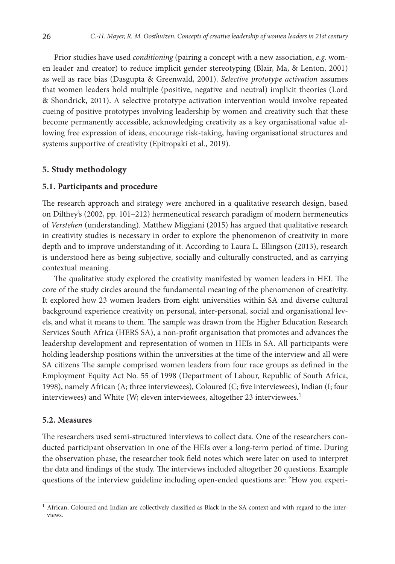Prior studies have used *conditioning* (pairing a concept with a new association, *e.g.* women leader and creator) to reduce implicit gender stereotyping (Blair, Ma, & Lenton, 2001) as well as race bias (Dasgupta & Greenwald, 2001). *Selective prototype activation* assumes that women leaders hold multiple (positive, negative and neutral) implicit theories (Lord & Shondrick, 2011). A selective prototype activation intervention would involve repeated cueing of positive prototypes involving leadership by women and creativity such that these become permanently accessible, acknowledging creativity as a key organisational value allowing free expression of ideas, encourage risk-taking, having organisational structures and systems supportive of creativity (Epitropaki et al., 2019).

#### **5. Study methodology**

## **5.1. Participants and procedure**

The research approach and strategy were anchored in a qualitative research design, based on Dilthey's (2002, pp. 101–212) hermeneutical research paradigm of modern hermeneutics of *Verstehen* (understanding). Matthew Miggiani (2015) has argued that qualitative research in creativity studies is necessary in order to explore the phenomenon of creativity in more depth and to improve understanding of it. According to Laura L. Ellingson (2013), research is understood here as being subjective, socially and culturally constructed, and as carrying contextual meaning.

The qualitative study explored the creativity manifested by women leaders in HEI. The core of the study circles around the fundamental meaning of the phenomenon of creativity. It explored how 23 women leaders from eight universities within SA and diverse cultural background experience creativity on personal, inter-personal, social and organisational levels, and what it means to them. The sample was drawn from the Higher Education Research Services South Africa (HERS SA), a non-profit organisation that promotes and advances the leadership development and representation of women in HEIs in SA. All participants were holding leadership positions within the universities at the time of the interview and all were SA citizens The sample comprised women leaders from four race groups as defined in the Employment Equity Act No. 55 of 1998 (Department of Labour, Republic of South Africa, 1998), namely African (A; three interviewees), Coloured (C; five interviewees), Indian (I; four interviewees) and White (W; eleven interviewees, altogether 23 interviewees.<sup>1</sup>

#### **5.2. Measures**

The researchers used semi-structured interviews to collect data. One of the researchers conducted participant observation in one of the HEIs over a long-term period of time. During the observation phase, the researcher took field notes which were later on used to interpret the data and findings of the study. The interviews included altogether 20 questions. Example questions of the interview guideline including open-ended questions are: "How you experi-

 $1$  African, Coloured and Indian are collectively classified as Black in the SA context and with regard to the interviews.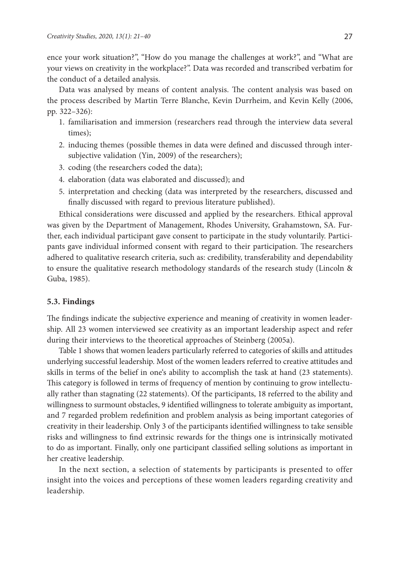ence your work situation?", "How do you manage the challenges at work?", and "What are your views on creativity in the workplace?". Data was recorded and transcribed verbatim for the conduct of a detailed analysis.

Data was analysed by means of content analysis. The content analysis was based on the process described by Martin Terre Blanche, Kevin Durrheim, and Kevin Kelly (2006, pp. 322–326):

- 1. familiarisation and immersion (researchers read through the interview data several times);
- 2. inducing themes (possible themes in data were defined and discussed through intersubjective validation (Yin, 2009) of the researchers);
- 3. coding (the researchers coded the data);
- 4. elaboration (data was elaborated and discussed); and
- 5. interpretation and checking (data was interpreted by the researchers, discussed and finally discussed with regard to previous literature published).

Ethical considerations were discussed and applied by the researchers. Ethical approval was given by the Department of Management, Rhodes University, Grahamstown, SA. Further, each individual participant gave consent to participate in the study voluntarily. Participants gave individual informed consent with regard to their participation. The researchers adhered to qualitative research criteria, such as: credibility, transferability and dependability to ensure the qualitative research methodology standards of the research study (Lincoln & Guba, 1985).

#### **5.3. Findings**

The findings indicate the subjective experience and meaning of creativity in women leadership. All 23 women interviewed see creativity as an important leadership aspect and refer during their interviews to the theoretical approaches of Steinberg (2005a).

Table 1 shows that women leaders particularly referred to categories of skills and attitudes underlying successful leadership. Most of the women leaders referred to creative attitudes and skills in terms of the belief in one's ability to accomplish the task at hand (23 statements). This category is followed in terms of frequency of mention by continuing to grow intellectually rather than stagnating (22 statements). Of the participants, 18 referred to the ability and willingness to surmount obstacles, 9 identified willingness to tolerate ambiguity as important, and 7 regarded problem redefinition and problem analysis as being important categories of creativity in their leadership. Only 3 of the participants identified willingness to take sensible risks and willingness to find extrinsic rewards for the things one is intrinsically motivated to do as important. Finally, only one participant classified selling solutions as important in her creative leadership.

In the next section, a selection of statements by participants is presented to offer insight into the voices and perceptions of these women leaders regarding creativity and leadership.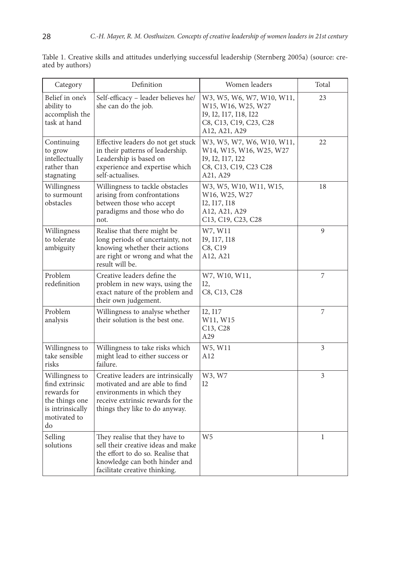Table 1. Creative skills and attitudes underlying successful leadership (Sternberg 2005a) (source: created by authors)

| Category                                                                                                    | Definition                                                                                                                                                                  | Women leaders                                                                                                                                                          | Total |
|-------------------------------------------------------------------------------------------------------------|-----------------------------------------------------------------------------------------------------------------------------------------------------------------------------|------------------------------------------------------------------------------------------------------------------------------------------------------------------------|-------|
| Belief in one's<br>ability to<br>accomplish the<br>task at hand                                             | Self-efficacy - leader believes he/<br>she can do the job.                                                                                                                  | W3, W5, W6, W7, W10, W11,<br>W <sub>15</sub> , W <sub>16</sub> , W <sub>25</sub> , W <sub>27</sub><br>19, 12, 117, 118, 122<br>C8, C13, C19, C23, C28<br>A12, A21, A29 | 23    |
| Continuing<br>to grow<br>intellectually<br>rather than<br>stagnating                                        | Effective leaders do not get stuck<br>in their patterns of leadership.<br>Leadership is based on<br>experience and expertise which<br>self-actualises.                      | W3, W5, W7, W6, W10, W11,<br>W14, W15, W16, W25, W27<br>I9, I2, I17, I22<br>C8, C13, C19, C23 C28<br>A21, A29                                                          | 22    |
| Willingness<br>to surmount<br>obstacles                                                                     | Willingness to tackle obstacles<br>arising from confrontations<br>between those who accept<br>paradigms and those who do<br>not.                                            | W3, W5, W10, W11, W15,<br>W16, W25, W27<br>I2, I17, I18<br>A12, A21, A29<br>C13, C19, C23, C28                                                                         | 18    |
| Willingness<br>to tolerate<br>ambiguity                                                                     | Realise that there might be<br>long periods of uncertainty, not<br>knowing whether their actions<br>are right or wrong and what the<br>result will be.                      | W7, W11<br>19, 117, 118<br>C8, C19<br>A12, A21                                                                                                                         | 9     |
| Problem<br>redefinition                                                                                     | Creative leaders define the<br>problem in new ways, using the<br>exact nature of the problem and<br>their own judgement.                                                    | W7, W10, W11,<br>I2,<br>C8, C13, C28                                                                                                                                   | 7     |
| Problem<br>analysis                                                                                         | Willingness to analyse whether<br>their solution is the best one.                                                                                                           | I2, I17<br>W11, W15<br>C <sub>13</sub> , C <sub>28</sub><br>A29                                                                                                        | 7     |
| Willingness to<br>take sensible<br>risks                                                                    | Willingness to take risks which<br>might lead to either success or<br>failure.                                                                                              | W5, W11<br>A12                                                                                                                                                         | 3     |
| Willingness to<br>find extrinsic<br>rewards for<br>the things one<br>is intrinsically<br>motivated to<br>do | Creative leaders are intrinsically<br>motivated and are able to find<br>environments in which they<br>receive extrinsic rewards for the<br>things they like to do anyway.   | W3, W7<br>I2                                                                                                                                                           | 3     |
| Selling<br>solutions                                                                                        | They realise that they have to<br>sell their creative ideas and make<br>the effort to do so. Realise that<br>knowledge can both hinder and<br>facilitate creative thinking. | W <sub>5</sub>                                                                                                                                                         | 1     |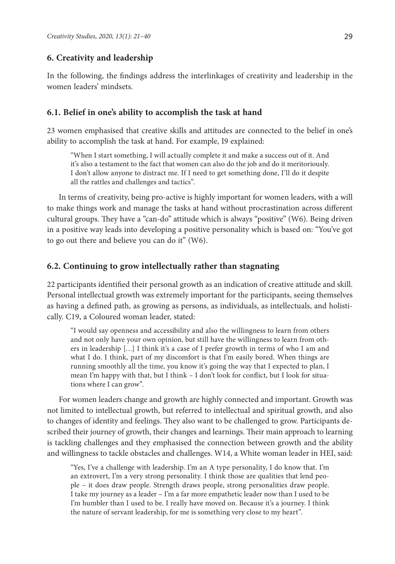# **6. Creativity and leadership**

In the following, the findings address the interlinkages of creativity and leadership in the women leaders' mindsets.

#### **6.1. Belief in one's ability to accomplish the task at hand**

23 women emphasised that creative skills and attitudes are connected to the belief in one's ability to accomplish the task at hand. For example, I9 explained:

"When I start something, I will actually complete it and make a success out of it. And it's also a testament to the fact that women can also do the job and do it meritoriously. I don't allow anyone to distract me. If I need to get something done, I'll do it despite all the rattles and challenges and tactics".

In terms of creativity, being pro-active is highly important for women leaders, with a will to make things work and manage the tasks at hand without procrastination across different cultural groups. They have a "can-do" attitude which is always "positive" (W6). Being driven in a positive way leads into developing a positive personality which is based on: "You've got to go out there and believe you can do it" (W6).

# **6.2. Continuing to grow intellectually rather than stagnating**

22 participants identified their personal growth as an indication of creative attitude and skill. Personal intellectual growth was extremely important for the participants, seeing themselves as having a defined path, as growing as persons, as individuals, as intellectuals, and holistically. C19, a Coloured woman leader, stated:

"I would say openness and accessibility and also the willingness to learn from others and not only have your own opinion, but still have the willingness to learn from others in leadership […] I think it's a case of I prefer growth in terms of who I am and what I do. I think, part of my discomfort is that I'm easily bored. When things are running smoothly all the time, you know it's going the way that I expected to plan, I mean I'm happy with that, but I think – I don't look for conflict, but I look for situations where I can grow".

For women leaders change and growth are highly connected and important. Growth was not limited to intellectual growth, but referred to intellectual and spiritual growth, and also to changes of identity and feelings. They also want to be challenged to grow. Participants described their journey of growth, their changes and learnings. Their main approach to learning is tackling challenges and they emphasised the connection between growth and the ability and willingness to tackle obstacles and challenges. W14, a White woman leader in HEI, said:

"Yes, I've a challenge with leadership. I'm an A type personality, I do know that. I'm an extrovert, I'm a very strong personality. I think those are qualities that lend people – it does draw people. Strength draws people, strong personalities draw people. I take my journey as a leader – I'm a far more empathetic leader now than I used to be I'm humbler than I used to be. I really have moved on. Because it's a journey. I think the nature of servant leadership, for me is something very close to my heart".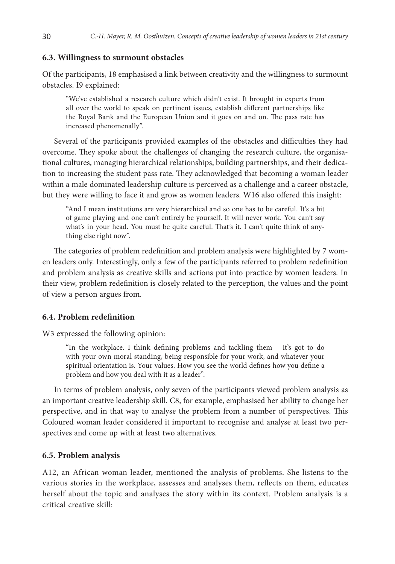## **6.3. Willingness to surmount obstacles**

Of the participants, 18 emphasised a link between creativity and the willingness to surmount obstacles. I9 explained:

"We've established a research culture which didn't exist. It brought in experts from all over the world to speak on pertinent issues, establish different partnerships like the Royal Bank and the European Union and it goes on and on. The pass rate has increased phenomenally".

Several of the participants provided examples of the obstacles and difficulties they had overcome. They spoke about the challenges of changing the research culture, the organisational cultures, managing hierarchical relationships, building partnerships, and their dedication to increasing the student pass rate. They acknowledged that becoming a woman leader within a male dominated leadership culture is perceived as a challenge and a career obstacle, but they were willing to face it and grow as women leaders. W16 also offered this insight:

"And I mean institutions are very hierarchical and so one has to be careful. It's a bit of game playing and one can't entirely be yourself. It will never work. You can't say what's in your head. You must be quite careful. That's it. I can't quite think of anything else right now".

The categories of problem redefinition and problem analysis were highlighted by 7 women leaders only. Interestingly, only a few of the participants referred to problem redefinition and problem analysis as creative skills and actions put into practice by women leaders. In their view, problem redefinition is closely related to the perception, the values and the point of view a person argues from.

## **6.4. Problem redefinition**

W3 expressed the following opinion:

"In the workplace. I think defining problems and tackling them – it's got to do with your own moral standing, being responsible for your work, and whatever your spiritual orientation is. Your values. How you see the world defines how you define a problem and how you deal with it as a leader".

In terms of problem analysis, only seven of the participants viewed problem analysis as an important creative leadership skill. C8, for example, emphasised her ability to change her perspective, and in that way to analyse the problem from a number of perspectives. This Coloured woman leader considered it important to recognise and analyse at least two perspectives and come up with at least two alternatives.

## **6.5. Problem analysis**

A12, an African woman leader, mentioned the analysis of problems. She listens to the various stories in the workplace, assesses and analyses them, reflects on them, educates herself about the topic and analyses the story within its context. Problem analysis is a critical creative skill: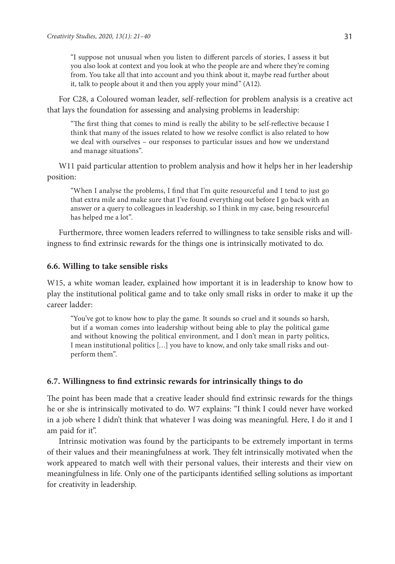"I suppose not unusual when you listen to different parcels of stories, I assess it but you also look at context and you look at who the people are and where they're coming from. You take all that into account and you think about it, maybe read further about it, talk to people about it and then you apply your mind" (A12).

For C28, a Coloured woman leader, self-reflection for problem analysis is a creative act that lays the foundation for assessing and analysing problems in leadership:

"The first thing that comes to mind is really the ability to be self-reflective because I think that many of the issues related to how we resolve conflict is also related to how we deal with ourselves – our responses to particular issues and how we understand and manage situations".

W11 paid particular attention to problem analysis and how it helps her in her leadership position:

"When I analyse the problems, I find that I'm quite resourceful and I tend to just go that extra mile and make sure that I've found everything out before I go back with an answer or a query to colleagues in leadership, so I think in my case, being resourceful has helped me a lot".

Furthermore, three women leaders referred to willingness to take sensible risks and willingness to find extrinsic rewards for the things one is intrinsically motivated to do.

#### **6.6. Willing to take sensible risks**

W15, a white woman leader, explained how important it is in leadership to know how to play the institutional political game and to take only small risks in order to make it up the career ladder:

"You've got to know how to play the game. It sounds so cruel and it sounds so harsh, but if a woman comes into leadership without being able to play the political game and without knowing the political environment, and I don't mean in party politics, I mean institutional politics […] you have to know, and only take small risks and outperform them".

## **6.7. Willingness to find extrinsic rewards for intrinsically things to do**

The point has been made that a creative leader should find extrinsic rewards for the things he or she is intrinsically motivated to do. W7 explains: "I think I could never have worked in a job where I didn't think that whatever I was doing was meaningful. Here, I do it and I am paid for it".

Intrinsic motivation was found by the participants to be extremely important in terms of their values and their meaningfulness at work. They felt intrinsically motivated when the work appeared to match well with their personal values, their interests and their view on meaningfulness in life. Only one of the participants identified selling solutions as important for creativity in leadership.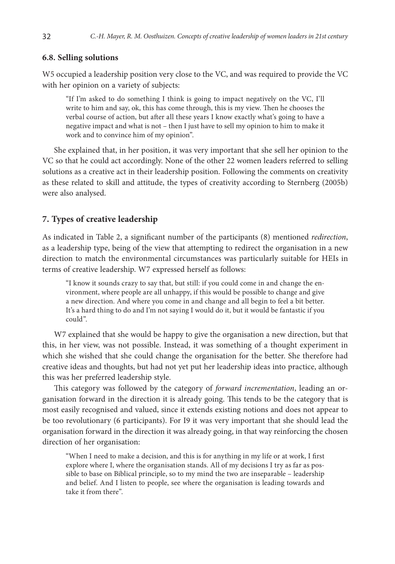## **6.8. Selling solutions**

W5 occupied a leadership position very close to the VC, and was required to provide the VC with her opinion on a variety of subjects:

"If I'm asked to do something I think is going to impact negatively on the VC, I'll write to him and say, ok, this has come through, this is my view. Then he chooses the verbal course of action, but after all these years I know exactly what's going to have a negative impact and what is not – then I just have to sell my opinion to him to make it work and to convince him of my opinion".

She explained that, in her position, it was very important that she sell her opinion to the VC so that he could act accordingly. None of the other 22 women leaders referred to selling solutions as a creative act in their leadership position. Following the comments on creativity as these related to skill and attitude, the types of creativity according to Sternberg (2005b) were also analysed.

## **7. Types of creative leadership**

As indicated in Table 2, a significant number of the participants (8) mentioned *redirection*, as a leadership type, being of the view that attempting to redirect the organisation in a new direction to match the environmental circumstances was particularly suitable for HEIs in terms of creative leadership. W7 expressed herself as follows:

"I know it sounds crazy to say that, but still: if you could come in and change the environment, where people are all unhappy, if this would be possible to change and give a new direction. And where you come in and change and all begin to feel a bit better. It's a hard thing to do and I'm not saying I would do it, but it would be fantastic if you could".

W7 explained that she would be happy to give the organisation a new direction, but that this, in her view, was not possible. Instead, it was something of a thought experiment in which she wished that she could change the organisation for the better. She therefore had creative ideas and thoughts, but had not yet put her leadership ideas into practice, although this was her preferred leadership style.

This category was followed by the category of *forward incrementation*, leading an organisation forward in the direction it is already going. This tends to be the category that is most easily recognised and valued, since it extends existing notions and does not appear to be too revolutionary (6 participants). For I9 it was very important that she should lead the organisation forward in the direction it was already going, in that way reinforcing the chosen direction of her organisation:

"When I need to make a decision, and this is for anything in my life or at work, I first explore where I, where the organisation stands. All of my decisions I try as far as possible to base on Biblical principle, so to my mind the two are inseparable – leadership and belief. And I listen to people, see where the organisation is leading towards and take it from there".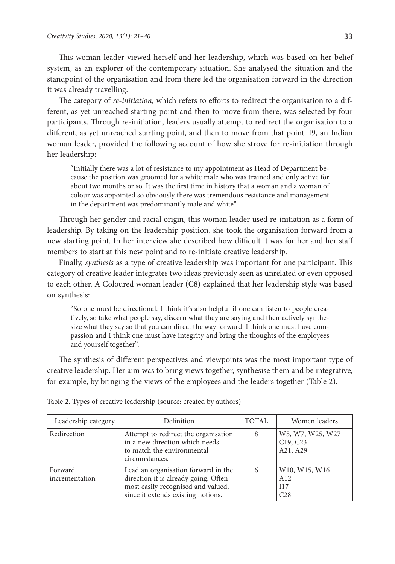This woman leader viewed herself and her leadership, which was based on her belief system, as an explorer of the contemporary situation. She analysed the situation and the standpoint of the organisation and from there led the organisation forward in the direction it was already travelling.

The category of *re-initiation*, which refers to efforts to redirect the organisation to a different, as yet unreached starting point and then to move from there, was selected by four participants. Through re-initiation, leaders usually attempt to redirect the organisation to a different, as yet unreached starting point, and then to move from that point. I9, an Indian woman leader, provided the following account of how she strove for re-initiation through her leadership:

"Initially there was a lot of resistance to my appointment as Head of Department because the position was groomed for a white male who was trained and only active for about two months or so. It was the first time in history that a woman and a woman of colour was appointed so obviously there was tremendous resistance and management in the department was predominantly male and white".

Through her gender and racial origin, this woman leader used re-initiation as a form of leadership. By taking on the leadership position, she took the organisation forward from a new starting point. In her interview she described how difficult it was for her and her staff members to start at this new point and to re-initiate creative leadership.

Finally, *synthesis* as a type of creative leadership was important for one participant. This category of creative leader integrates two ideas previously seen as unrelated or even opposed to each other. A Coloured woman leader (C8) explained that her leadership style was based on synthesis:

"So one must be directional. I think it's also helpful if one can listen to people creatively, so take what people say, discern what they are saying and then actively synthesize what they say so that you can direct the way forward. I think one must have compassion and I think one must have integrity and bring the thoughts of the employees and yourself together".

The synthesis of different perspectives and viewpoints was the most important type of creative leadership. Her aim was to bring views together, synthesise them and be integrative, for example, by bringing the views of the employees and the leaders together (Table 2).

| Leadership category       | Definition                                                                                                                                              | <b>TOTAL</b> | Women leaders                                                     |
|---------------------------|---------------------------------------------------------------------------------------------------------------------------------------------------------|--------------|-------------------------------------------------------------------|
| Redirection               | Attempt to redirect the organisation<br>in a new direction which needs<br>to match the environmental<br>circumstances.                                  | 8            | W5, W7, W25, W27<br>C <sub>19</sub> , C <sub>23</sub><br>A21, A29 |
| Forward<br>incrementation | Lead an organisation forward in the<br>direction it is already going. Often<br>most easily recognised and valued,<br>since it extends existing notions. | 6            | W10, W15, W16<br>A12<br>I17<br>C <sub>28</sub>                    |

Table 2. Types of creative leadership (source: created by authors)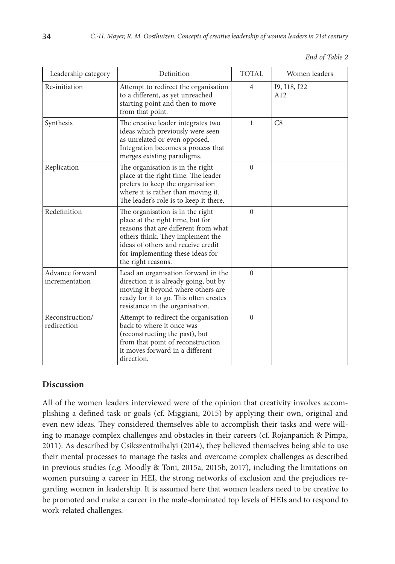|  |  | End of Table 2 |  |
|--|--|----------------|--|
|--|--|----------------|--|

| Leadership category               | Definition                                                                                                                                                                                                                                       | TOTAL    | Women leaders       |
|-----------------------------------|--------------------------------------------------------------------------------------------------------------------------------------------------------------------------------------------------------------------------------------------------|----------|---------------------|
| Re-initiation                     | Attempt to redirect the organisation<br>to a different, as yet unreached<br>starting point and then to move<br>from that point.                                                                                                                  | 4        | I9, I18, I22<br>A12 |
| Synthesis                         | The creative leader integrates two<br>ideas which previously were seen<br>as unrelated or even opposed.<br>Integration becomes a process that<br>merges existing paradigms.                                                                      | 1        | C8                  |
| Replication                       | The organisation is in the right<br>place at the right time. The leader<br>prefers to keep the organisation<br>where it is rather than moving it.<br>The leader's role is to keep it there.                                                      | $\Omega$ |                     |
| Redefinition                      | The organisation is in the right<br>place at the right time, but for<br>reasons that are different from what<br>others think. They implement the<br>ideas of others and receive credit<br>for implementing these ideas for<br>the right reasons. | $\theta$ |                     |
| Advance forward<br>incrementation | Lead an organisation forward in the<br>direction it is already going, but by<br>moving it beyond where others are<br>ready for it to go. This often creates<br>resistance in the organisation.                                                   | $\Omega$ |                     |
| Reconstruction/<br>redirection    | Attempt to redirect the organisation<br>back to where it once was<br>(reconstructing the past), but<br>from that point of reconstruction<br>it moves forward in a different<br>direction.                                                        | $\Omega$ |                     |

# **Discussion**

All of the women leaders interviewed were of the opinion that creativity involves accomplishing a defined task or goals (cf. Miggiani, 2015) by applying their own, original and even new ideas. They considered themselves able to accomplish their tasks and were willing to manage complex challenges and obstacles in their careers (cf. Rojanpanich & Pimpa, 2011). As described by Csikszentmihalyi (2014), they believed themselves being able to use their mental processes to manage the tasks and overcome complex challenges as described in previous studies (*e.g.* Moodly & Toni, 2015a, 2015b, 2017), including the limitations on women pursuing a career in HEI, the strong networks of exclusion and the prejudices regarding women in leadership. It is assumed here that women leaders need to be creative to be promoted and make a career in the male-dominated top levels of HEIs and to respond to work-related challenges.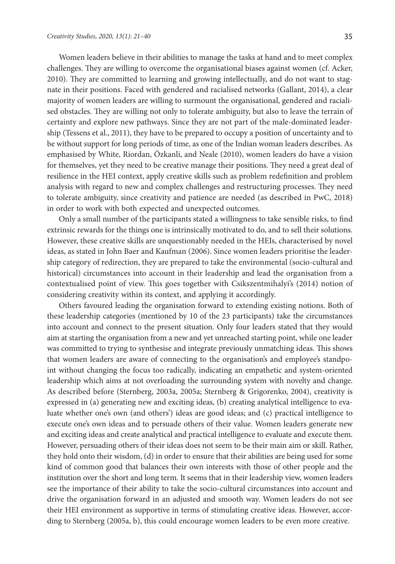Women leaders believe in their abilities to manage the tasks at hand and to meet complex challenges. They are willing to overcome the organisational biases against women (cf. Acker, 2010). They are committed to learning and growing intellectually, and do not want to stagnate in their positions. Faced with gendered and racialised networks (Gallant, 2014), a clear majority of women leaders are willing to surmount the organisational, gendered and racialised obstacles. They are willing not only to tolerate ambiguity, but also to leave the terrain of certainty and explore new pathways. Since they are not part of the male-dominated leadership (Tessens et al., 2011), they have to be prepared to occupy a position of uncertainty and to be without support for long periods of time, as one of the Indian woman leaders describes. As emphasised by White, Riordan, Özkanli, and Neale (2010), women leaders do have a vision for themselves, yet they need to be creative manage their positions. They need a great deal of resilience in the HEI context, apply creative skills such as problem redefinition and problem analysis with regard to new and complex challenges and restructuring processes. They need to tolerate ambiguity, since creativity and patience are needed (as described in PwC, 2018) in order to work with both expected and unexpected outcomes.

Only a small number of the participants stated a willingness to take sensible risks, to find extrinsic rewards for the things one is intrinsically motivated to do, and to sell their solutions. However, these creative skills are unquestionably needed in the HEIs, characterised by novel ideas, as stated in John Baer and Kaufman (2006). Since women leaders prioritise the leadership category of redirection, they are prepared to take the environmental (socio-cultural and historical) circumstances into account in their leadership and lead the organisation from a contextualised point of view. This goes together with Csikszentmihalyi's (2014) notion of considering creativity within its context, and applying it accordingly.

Others favoured leading the organisation forward to extending existing notions. Both of these leadership categories (mentioned by 10 of the 23 participants) take the circumstances into account and connect to the present situation. Only four leaders stated that they would aim at starting the organisation from a new and yet unreached starting point, while one leader was committed to trying to synthesise and integrate previously unmatching ideas. This shows that women leaders are aware of connecting to the organisation's and employee's standpoint without changing the focus too radically, indicating an empathetic and system-oriented leadership which aims at not overloading the surrounding system with novelty and change. As described before (Sternberg, 2003a, 2005a; Sternberg & Grigorenko, 2004), creativity is expressed in (a) generating new and exciting ideas, (b) creating analytical intelligence to evaluate whether one's own (and others') ideas are good ideas; and (c) practical intelligence to execute one's own ideas and to persuade others of their value. Women leaders generate new and exciting ideas and create analytical and practical intelligence to evaluate and execute them. However, persuading others of their ideas does not seem to be their main aim or skill. Rather, they hold onto their wisdom, (d) in order to ensure that their abilities are being used for some kind of common good that balances their own interests with those of other people and the institution over the short and long term. It seems that in their leadership view, women leaders see the importance of their ability to take the socio-cultural circumstances into account and drive the organisation forward in an adjusted and smooth way. Women leaders do not see their HEI environment as supportive in terms of stimulating creative ideas. However, according to Sternberg (2005a, b), this could encourage women leaders to be even more creative.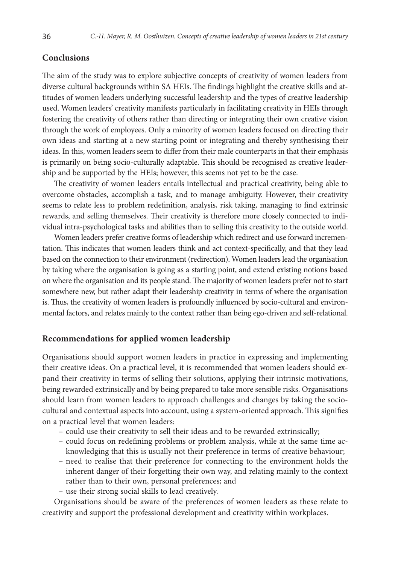# **Conclusions**

The aim of the study was to explore subjective concepts of creativity of women leaders from diverse cultural backgrounds within SA HEIs. The findings highlight the creative skills and attitudes of women leaders underlying successful leadership and the types of creative leadership used. Women leaders' creativity manifests particularly in facilitating creativity in HEIs through fostering the creativity of others rather than directing or integrating their own creative vision through the work of employees. Only a minority of women leaders focused on directing their own ideas and starting at a new starting point or integrating and thereby synthesising their ideas. In this, women leaders seem to differ from their male counterparts in that their emphasis is primarily on being socio-culturally adaptable. This should be recognised as creative leadership and be supported by the HEIs; however, this seems not yet to be the case.

The creativity of women leaders entails intellectual and practical creativity, being able to overcome obstacles, accomplish a task, and to manage ambiguity. However, their creativity seems to relate less to problem redefinition, analysis, risk taking, managing to find extrinsic rewards, and selling themselves. Their creativity is therefore more closely connected to individual intra-psychological tasks and abilities than to selling this creativity to the outside world.

Women leaders prefer creative forms of leadership which redirect and use forward incrementation. This indicates that women leaders think and act context-specifically, and that they lead based on the connection to their environment (redirection). Women leaders lead the organisation by taking where the organisation is going as a starting point, and extend existing notions based on where the organisation and its people stand. The majority of women leaders prefer not to start somewhere new, but rather adapt their leadership creativity in terms of where the organisation is. Thus, the creativity of women leaders is profoundly influenced by socio-cultural and environmental factors, and relates mainly to the context rather than being ego-driven and self-relational.

### **Recommendations for applied women leadership**

Organisations should support women leaders in practice in expressing and implementing their creative ideas. On a practical level, it is recommended that women leaders should expand their creativity in terms of selling their solutions, applying their intrinsic motivations, being rewarded extrinsically and by being prepared to take more sensible risks. Organisations should learn from women leaders to approach challenges and changes by taking the sociocultural and contextual aspects into account, using a system-oriented approach. This signifies on a practical level that women leaders:

- could use their creativity to sell their ideas and to be rewarded extrinsically;
- could focus on redefining problems or problem analysis, while at the same time acknowledging that this is usually not their preference in terms of creative behaviour;
- need to realise that their preference for connecting to the environment holds the inherent danger of their forgetting their own way, and relating mainly to the context rather than to their own, personal preferences; and
- use their strong social skills to lead creatively.

Organisations should be aware of the preferences of women leaders as these relate to creativity and support the professional development and creativity within workplaces.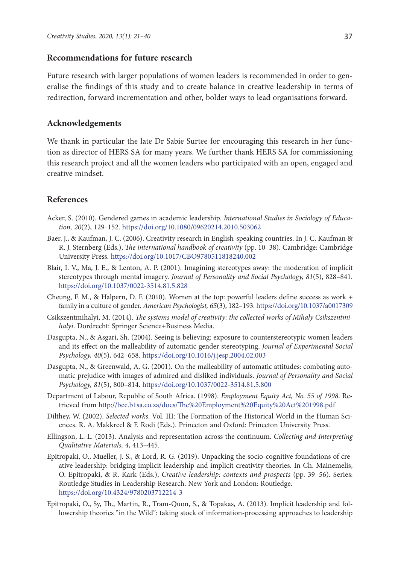# **Recommendations for future research**

Future research with larger populations of women leaders is recommended in order to generalise the findings of this study and to create balance in creative leadership in terms of redirection, forward incrementation and other, bolder ways to lead organisations forward.

# **Acknowledgements**

We thank in particular the late Dr Sabie Surtee for encouraging this research in her function as director of HERS SA for many years. We further thank HERS SA for commissioning this research project and all the women leaders who participated with an open, engaged and creative mindset.

# **References**

- Acker, S. (2010). Gendered games in academic leadership. *International Studies in Sociology of Education, 20*(2), 129‒152. <https://doi.org/10.1080/09620214.2010.503062>
- Baer, J., & Kaufman, J. C. (2006). Creativity research in English-speaking countries. In J. C. Kaufman & R. J. Sternberg (Eds.), *The international handbook of creativity* (pp. 10–38). Cambridge: Cambridge University Press. <https://doi.org/10.1017/CBO9780511818240.002>
- Blair, I. V., Ma, J. E., & Lenton, A. P. (2001). Imagining stereotypes away: the moderation of implicit stereotypes through mental imagery. *Journal of Personality and Social Psychology, 81*(5), 828–841. <https://doi.org/10.1037/0022-3514.81.5.828>
- Cheung, F. M., & Halpern, D. F. (2010). Women at the top: powerful leaders define success as work + family in a culture of gender. *American Psychologist, 65*(3), 182–193.<https://doi.org/10.1037/a0017309>
- Csikszentmihalyi, M. (2014). *The systems model of creativity: the collected works of Mihaly Csikszentmihalyi*. Dordrecht: Springer Science+Business Media.
- Dasgupta, N., & Asgari, Sh. (2004). Seeing is believing: exposure to counterstereotypic women leaders and its effect on the malleability of automatic gender stereotyping. *Journal of Experimental Social Psychology, 40*(5), 642–658. <https://doi.org/10.1016/j.jesp.2004.02.003>
- Dasgupta, N., & Greenwald, A. G. (2001). On the malleability of automatic attitudes: combating automatic prejudice with images of admired and disliked individuals. *Journal of Personality and Social Psychology, 81*(5), 800–814. <https://doi.org/10.1037/0022-3514.81.5.800>
- Department of Labour, Republic of South Africa. (1998). *Employment Equity Act, No. 55 of 1998*. Retrieved from http://bee.b1sa.co.za/docs/The%20Employment%20Equity%20Act%201998.pdf
- Dilthey, W. (2002). *Selected works*. Vol. III: The Formation of the Historical World in the Human Sciences. R. A. Makkreel & F. Rodi (Eds.). Princeton and Oxford: Princeton University Press.
- Ellingson, L. L. (2013). Analysis and representation across the continuum. *Collecting and Interpreting Qualitative Materials, 4*, 413–445.
- Epitropaki, O., Mueller, J. S., & Lord, R. G. (2019). Unpacking the socio-cognitive foundations of creative leadership: bridging implicit leadership and implicit creativity theories. In Ch. Mainemelis, O. Epitropaki, & R. Kark (Eds.), *Creative leadership: contexts and prospects* (pp. 39–56). Series: Routledge Studies in Leadership Research. New York and London: Routledge. <https://doi.org/10.4324/9780203712214-3>
- Epitropaki, O., Sy, Th., Martin, R., Tram-Quon, S., & Topakas, A. (2013). Implicit leadership and followership theories "in the Wild": taking stock of information-processing approaches to leadership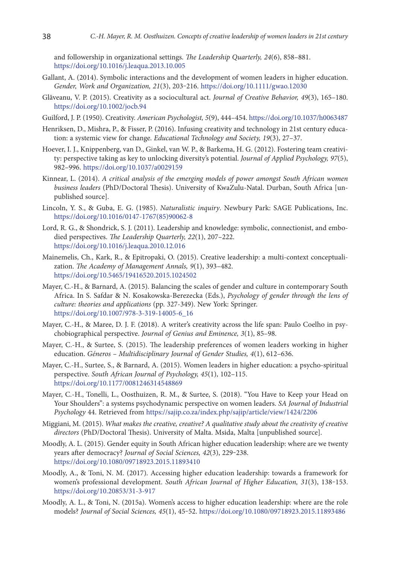and followership in organizational settings. *The Leadership Quarterly, 24*(6), 858–881. <https://doi.org/10.1016/j.leaqua.2013.10.005>

- Gallant, A. (2014). Symbolic interactions and the development of women leaders in higher education. *Gender, Work and Organization, 21*(3), 203‒216. <https://doi.org/10.1111/gwao.12030>
- Glăveanu, V. P. (2015). Creativity as a sociocultural act. *Journal of Creative Behavior, 49*(3), 165–180. <https://doi.org/10.1002/jocb.94>
- Guilford, J. P. (1950). Creativity. *American Psychologist, 5*(9), 444–454.<https://doi.org/10.1037/h0063487>
- Henriksen, D., Mishra, P., & Fisser, P. (2016). Infusing creativity and technology in 21st century education: a systemic view for change. *Educational Technology and Society, 19*(3), 27–37.
- Hoever, I. J., Knippenberg, van D., Ginkel, van W. P., & Barkema, H. G. (2012). Fostering team creativity: perspective taking as key to unlocking diversity's potential. *Journal of Applied Psychology, 97*(5), 982–996. <https://doi.org/10.1037/a0029159>
- Kinnear, L. (2014). *A critical analysis of the emerging models of power amongst South African women business leaders* (PhD/Doctoral Thesis). University of KwaZulu-Natal. Durban, South Africa [unpublished source].
- Lincoln, Y. S., & Guba, E. G. (1985). *Naturalistic inquiry*. Newbury Park: SAGE Publications, Inc. [https://doi.org/10.1016/0147-1767\(85\)90062-8](https://doi.org/10.1016/0147-1767(85)90062-8)
- Lord, R. G., & Shondrick, S. J. (2011). Leadership and knowledge: symbolic, connectionist, and embodied perspectives. *The Leadership Quarterly, 22*(1), 207–222. <https://doi.org/10.1016/j.leaqua.2010.12.016>
- Mainemelis, Ch., Kark, R., & Epitropaki, O. (2015). Creative leadership: a multi-context conceptualization. *The Academy of Management Annals, 9*(1), 393–482. <https://doi.org/10.5465/19416520.2015.1024502>
- Mayer, C.-H., & Barnard, A. (2015). Balancing the scales of gender and culture in contemporary South Africa. In S. Safdar & N. Kosakowska-Berezecka (Eds.), *Psychology of gender through the lens of culture: theories and applications* (pp. 327-349). New York: Springer. [https://doi.org/10.1007/978-3-319-14005-6\\_16](https://doi.org/10.1007/978-3-319-14005-6_16)
- Mayer, C.-H., & Maree, D. J. F. (2018). A writer's creativity across the life span: Paulo Coelho in psychobiographical perspective. *Journal of Genius and Eminence, 3*(1), 85–98.
- Mayer, C.-H., & Surtee, S. (2015). The leadership preferences of women leaders working in higher education. *Géneros – Multidisciplinary Journal of Gender Studies, 4*(1), 612–636.
- Mayer, C.-H., Surtee, S., & Barnard, A. (2015). Women leaders in higher education: a psycho-spiritual perspective. *South African Journal of Psychology, 45*(1), 102–115. <https://doi.org/10.1177/0081246314548869>
- Mayer, C.-H., Tonelli, L., Oosthuizen, R. M., & Surtee, S. (2018). "You Have to Keep your Head on Your Shoulders": a systems psychodynamic perspective on women leaders. *SA Journal of Industrial Psychology* 44. Retrieved from https://sajip.co.za/index.php/sajip/article/view/1424/2206
- Miggiani, M. (2015). *What makes the creative, creative? A qualitative study about the creativity of creative directors* (PhD/Doctoral Thesis). University of Malta. Msida, Malta [unpublished source].
- Moodly, A. L. (2015). Gender equity in South African higher education leadership: where are we twenty years after democracy? *Journal of Social Sciences*, 42(3), 229-238. <https://doi.org/10.1080/09718923.2015.11893410>
- Moodly, A., & Toni, N. M. (2017). Accessing higher education leadership: towards a framework for women's professional development. *South African Journal of Higher Education*, 31(3), 138-153. <https://doi.org/10.20853/31-3-917>
- Moodly, A. L., & Toni, N. (2015a). Women's access to higher education leadership: where are the role models? *Journal of Social Sciences, 45*(1), 45‒52. <https://doi.org/10.1080/09718923.2015.11893486>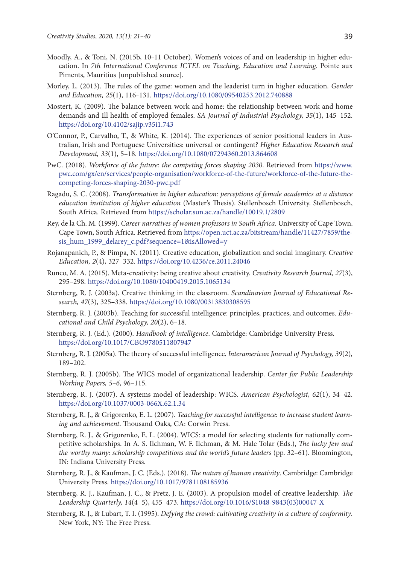- Moodly, A., & Toni, N. (2015b, 10-11 October). Women's voices of and on leadership in higher education. In *7th International Conference ICTEL on Teaching, Education and Learning*. Pointe aux Piments, Mauritius [unpublished source].
- Morley, L. (2013). The rules of the game: women and the leaderist turn in higher education. *Gender and Education, 25*(1), 116‒131. <https://doi.org/10.1080/09540253.2012.740888>
- Mostert, K. (2009). The balance between work and home: the relationship between work and home demands and Ill health of employed females. *SA Journal of Industrial Psychology, 35*(1), 145–152. <https://doi.org/10.4102/sajip.v35i1.743>
- O'Connor, P., Carvalho, T., & White, K. (2014). The experiences of senior positional leaders in Australian, Irish and Portuguese Universities: universal or contingent? *Higher Education Research and Development, 33*(1), 5–18. <https://doi.org/10.1080/07294360.2013.864608>
- PwC. (2018). *Workforce of the future: the competing forces shaping 2030*. Retrieved from https://www. pwc.com/gx/en/services/people-organisation/workforce-of-the-future/workforce-of-the-future-thecompeting-forces-shaping-2030-pwc.pdf
- Ragadu, S. C. (2008). *Transformation in higher education: perceptions of female academics at a distance education institution of higher education* (Master's Thesis). Stellenbosch University. Stellenbosch, South Africa. Retrieved from https://scholar.sun.ac.za/handle/10019.1/2809
- Rey, de la Ch. M. (1999). *Career narratives of women professors in South Africa*. University of Cape Town. Cape Town, South Africa. Retrieved from https://open.uct.ac.za/bitstream/handle/11427/7859/thesis\_hum\_1999\_delarey\_c.pdf?sequence=1&isAllowed=y
- Rojanapanich, P., & Pimpa, N. (2011). Creative education, globalization and social imaginary. *Creative Education, 2*(4), 327–332. <https://doi.org/10.4236/ce.2011.24046>
- Runco, M. A. (2015). Meta-creativity: being creative about creativity. *Creativity Research Journal, 27*(3), 295–298. <https://doi.org/10.1080/10400419.2015.1065134>
- Sternberg, R. J. (2003a). Creative thinking in the classroom. *Scandinavian Journal of Educational Research, 47*(3), 325–338. <https://doi.org/10.1080/00313830308595>
- Sternberg, R. J. (2003b). Teaching for successful intelligence: principles, practices, and outcomes. *Educational and Child Psychology, 20*(2), 6–18.
- Sternberg, R. J. (Ed.). (2000). *Handbook of intelligence*. Cambridge: Cambridge University Press. <https://doi.org/10.1017/CBO9780511807947>
- Sternberg, R. J. (2005a). The theory of successful intelligence. *Interamerican Journal of Psychology, 39*(2), 189–202.
- Sternberg, R. J. (2005b). The WICS model of organizational leadership. *Center for Public Leadership Working Papers, 5–6*, 96–115.
- Sternberg, R. J. (2007). A systems model of leadership: WICS. *American Psychologist, 62*(1), 34–42. <https://doi.org/10.1037/0003-066X.62.1.34>
- Sternberg, R. J., & Grigorenko, E. L. (2007). *Teaching for successful intelligence: to increase student learning and achievement*. Thousand Oaks, CA: Corwin Press.
- Sternberg, R. J., & Grigorenko, E. L. (2004). WICS: a model for selecting students for nationally competitive scholarships. In A. S. Ilchman, W. F. Ilchman, & M. Hale Tolar (Eds.), *The lucky few and the worthy many: scholarship competitions and the world's future leaders* (pp. 32–61). Bloomington, IN: Indiana University Press.
- Sternberg, R. J., & Kaufman, J. C. (Eds.). (2018). *The nature of human creativity*. Cambridge: Cambridge University Press. <https://doi.org/10.1017/9781108185936>
- Sternberg, R. J., Kaufman, J. C., & Pretz, J. E. (2003). A propulsion model of creative leadership. *The Leadership Quarterly, 14*(4–5), 455–473. [https://doi.org/10.1016/S1048-9843\(03\)00047-X](https://doi.org/10.1016/S1048-9843(03)00047-X)
- Sternberg, R. J., & Lubart, T. I. (1995). *Defying the crowd: cultivating creativity in a culture of conformity*. New York, NY: The Free Press.